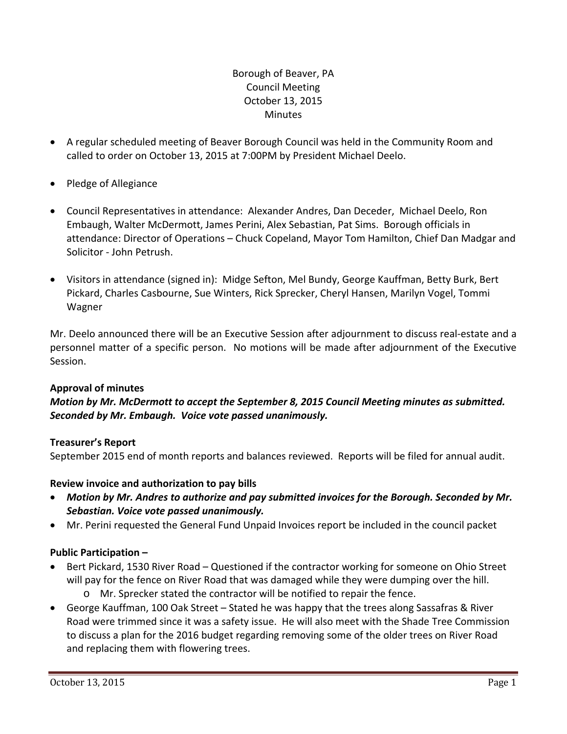# Borough of Beaver, PA Council Meeting October 13, 2015 **Minutes**

- A regular scheduled meeting of Beaver Borough Council was held in the Community Room and called to order on October 13, 2015 at 7:00PM by President Michael Deelo.
- Pledge of Allegiance
- Council Representatives in attendance: Alexander Andres, Dan Deceder, Michael Deelo, Ron Embaugh, Walter McDermott, James Perini, Alex Sebastian, Pat Sims. Borough officials in attendance: Director of Operations – Chuck Copeland, Mayor Tom Hamilton, Chief Dan Madgar and Solicitor ‐ John Petrush.
- Visitors in attendance (signed in): Midge Sefton, Mel Bundy, George Kauffman, Betty Burk, Bert Pickard, Charles Casbourne, Sue Winters, Rick Sprecker, Cheryl Hansen, Marilyn Vogel, Tommi Wagner

Mr. Deelo announced there will be an Executive Session after adjournment to discuss real‐estate and a personnel matter of a specific person. No motions will be made after adjournment of the Executive Session.

## **Approval of minutes**

*Motion by Mr. McDermott to accept the September 8, 2015 Council Meeting minutes as submitted. Seconded by Mr. Embaugh. Voice vote passed unanimously.* 

## **Treasurer's Report**

September 2015 end of month reports and balances reviewed. Reports will be filed for annual audit.

## **Review invoice and authorization to pay bills**

- *Motion by Mr. Andres to authorize and pay submitted invoices for the Borough. Seconded by Mr. Sebastian. Voice vote passed unanimously.*
- Mr. Perini requested the General Fund Unpaid Invoices report be included in the council packet

## **Public Participation –**

- Bert Pickard, 1530 River Road Questioned if the contractor working for someone on Ohio Street will pay for the fence on River Road that was damaged while they were dumping over the hill. o Mr. Sprecker stated the contractor will be notified to repair the fence.
- George Kauffman, 100 Oak Street Stated he was happy that the trees along Sassafras & River Road were trimmed since it was a safety issue. He will also meet with the Shade Tree Commission to discuss a plan for the 2016 budget regarding removing some of the older trees on River Road and replacing them with flowering trees.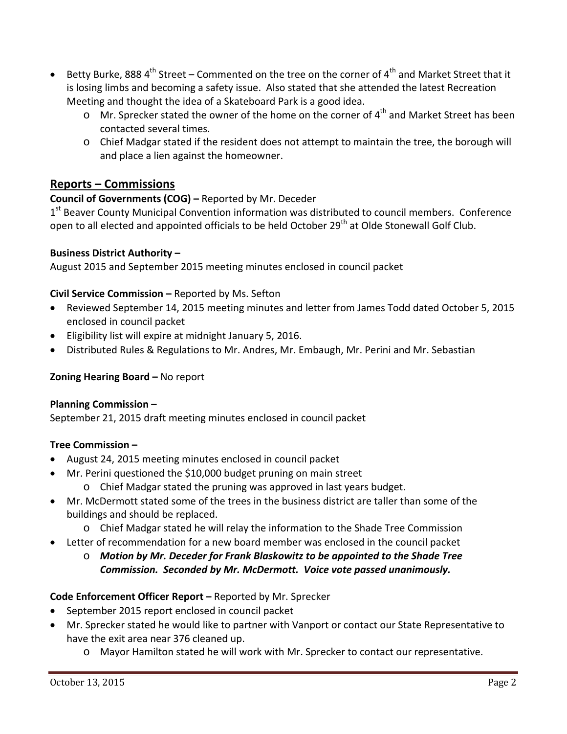- Betty Burke, 888  $4<sup>th</sup>$  Street Commented on the tree on the corner of  $4<sup>th</sup>$  and Market Street that it is losing limbs and becoming a safety issue. Also stated that she attended the latest Recreation Meeting and thought the idea of a Skateboard Park is a good idea.
	- $\circ$  Mr. Sprecker stated the owner of the home on the corner of 4<sup>th</sup> and Market Street has been contacted several times.
	- o Chief Madgar stated if the resident does not attempt to maintain the tree, the borough will and place a lien against the homeowner.

# **Reports – Commissions**

# **Council of Governments (COG) –** Reported by Mr. Deceder

 $1<sup>st</sup>$  Beaver County Municipal Convention information was distributed to council members. Conference open to all elected and appointed officials to be held October 29<sup>th</sup> at Olde Stonewall Golf Club.

# **Business District Authority –**

August 2015 and September 2015 meeting minutes enclosed in council packet

## **Civil Service Commission –** Reported by Ms. Sefton

- Reviewed September 14, 2015 meeting minutes and letter from James Todd dated October 5, 2015 enclosed in council packet
- Eligibility list will expire at midnight January 5, 2016.
- Distributed Rules & Regulations to Mr. Andres, Mr. Embaugh, Mr. Perini and Mr. Sebastian

## **Zoning Hearing Board –** No report

## **Planning Commission –**

September 21, 2015 draft meeting minutes enclosed in council packet

## **Tree Commission –**

- August 24, 2015 meeting minutes enclosed in council packet
- Mr. Perini questioned the \$10,000 budget pruning on main street
	- o Chief Madgar stated the pruning was approved in last years budget.
- Mr. McDermott stated some of the trees in the business district are taller than some of the buildings and should be replaced.
	- o Chief Madgar stated he will relay the information to the Shade Tree Commission
- Letter of recommendation for a new board member was enclosed in the council packet
	- o *Motion by Mr. Deceder for Frank Blaskowitz to be appointed to the Shade Tree Commission. Seconded by Mr. McDermott. Voice vote passed unanimously.*

## **Code Enforcement Officer Report –** Reported by Mr. Sprecker

- September 2015 report enclosed in council packet
- Mr. Sprecker stated he would like to partner with Vanport or contact our State Representative to have the exit area near 376 cleaned up.
	- o Mayor Hamilton stated he will work with Mr. Sprecker to contact our representative.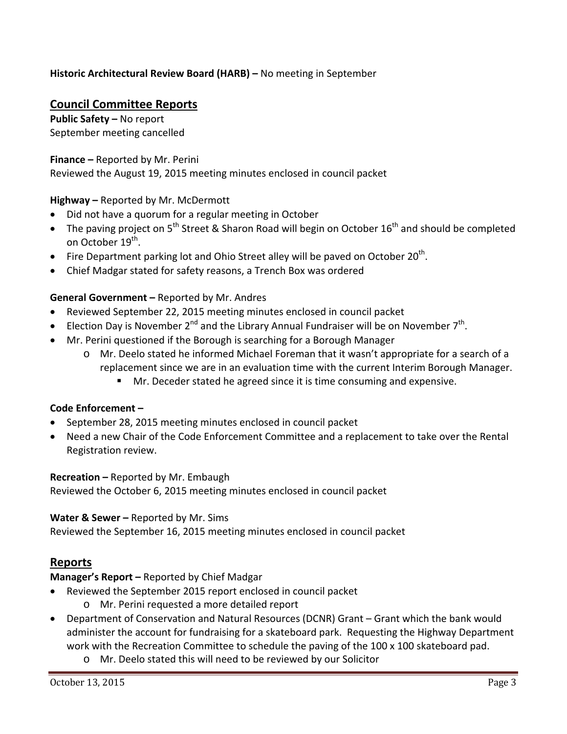# **Historic Architectural Review Board (HARB) –** No meeting in September

# **Council Committee Reports**

**Public Safety –** No report September meeting cancelled

### **Finance –** Reported by Mr. Perini

Reviewed the August 19, 2015 meeting minutes enclosed in council packet

### **Highway –** Reported by Mr. McDermott

- Did not have a quorum for a regular meeting in October
- The paving project on  $5<sup>th</sup>$  Street & Sharon Road will begin on October 16<sup>th</sup> and should be completed on October 19<sup>th</sup>.
- Fire Department parking lot and Ohio Street alley will be paved on October  $20^{th}$ .
- Chief Madgar stated for safety reasons, a Trench Box was ordered

### **General Government –** Reported by Mr. Andres

- Reviewed September 22, 2015 meeting minutes enclosed in council packet
- Election Day is November  $2^{nd}$  and the Library Annual Fundraiser will be on November  $7^{th}$ .
- Mr. Perini questioned if the Borough is searching for a Borough Manager
	- o Mr. Deelo stated he informed Michael Foreman that it wasn't appropriate for a search of a replacement since we are in an evaluation time with the current Interim Borough Manager.
		- **Mr.** Deceder stated he agreed since it is time consuming and expensive.

#### **Code Enforcement –**

- September 28, 2015 meeting minutes enclosed in council packet
- Need a new Chair of the Code Enforcement Committee and a replacement to take over the Rental Registration review.

#### **Recreation –** Reported by Mr. Embaugh

Reviewed the October 6, 2015 meeting minutes enclosed in council packet

#### **Water & Sewer –** Reported by Mr. Sims

Reviewed the September 16, 2015 meeting minutes enclosed in council packet

# **Reports**

**Manager's Report –** Reported by Chief Madgar

- Reviewed the September 2015 report enclosed in council packet
	- o Mr. Perini requested a more detailed report
- Department of Conservation and Natural Resources (DCNR) Grant Grant which the bank would administer the account for fundraising for a skateboard park. Requesting the Highway Department work with the Recreation Committee to schedule the paving of the 100 x 100 skateboard pad.
	- o Mr. Deelo stated this will need to be reviewed by our Solicitor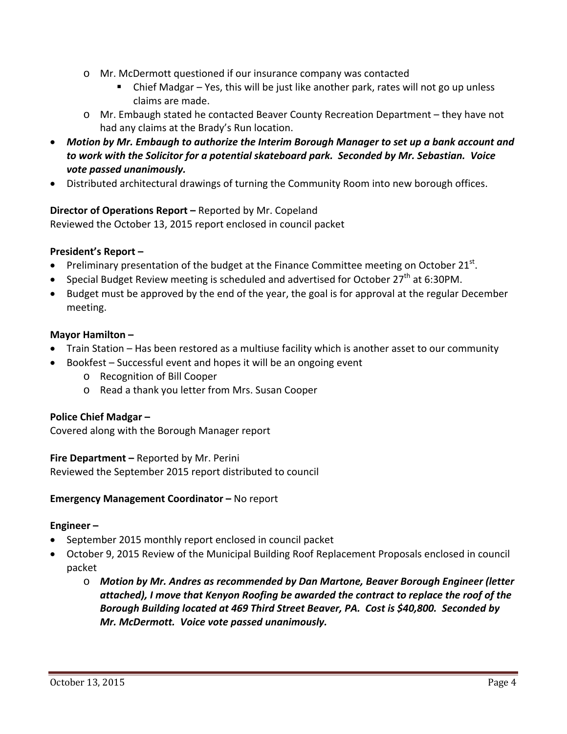- o Mr. McDermott questioned if our insurance company was contacted
	- Chief Madgar Yes, this will be just like another park, rates will not go up unless claims are made.
- o Mr. Embaugh stated he contacted Beaver County Recreation Department they have not had any claims at the Brady's Run location.
- *Motion by Mr. Embaugh to authorize the Interim Borough Manager to set up a bank account and to work with the Solicitor for a potential skateboard park. Seconded by Mr. Sebastian. Voice vote passed unanimously.*
- Distributed architectural drawings of turning the Community Room into new borough offices.

# **Director of Operations Report –** Reported by Mr. Copeland

Reviewed the October 13, 2015 report enclosed in council packet

# **President's Report –**

- Preliminary presentation of the budget at the Finance Committee meeting on October  $21^{st}$ .
- Special Budget Review meeting is scheduled and advertised for October  $27<sup>th</sup>$  at 6:30PM.
- Budget must be approved by the end of the year, the goal is for approval at the regular December meeting.

## **Mayor Hamilton –**

- Train Station Has been restored as a multiuse facility which is another asset to our community
- Bookfest Successful event and hopes it will be an ongoing event
	- o Recognition of Bill Cooper
	- o Read a thank you letter from Mrs. Susan Cooper

## **Police Chief Madgar –**

Covered along with the Borough Manager report

## **Fire Department –** Reported by Mr. Perini

Reviewed the September 2015 report distributed to council

## **Emergency Management Coordinator –** No report

## **Engineer –**

- September 2015 monthly report enclosed in council packet
- October 9, 2015 Review of the Municipal Building Roof Replacement Proposals enclosed in council packet
	- o *Motion by Mr. Andres as recommended by Dan Martone, Beaver Borough Engineer (letter attached), I move that Kenyon Roofing be awarded the contract to replace the roof of the Borough Building located at 469 Third Street Beaver, PA. Cost is \$40,800. Seconded by Mr. McDermott. Voice vote passed unanimously.*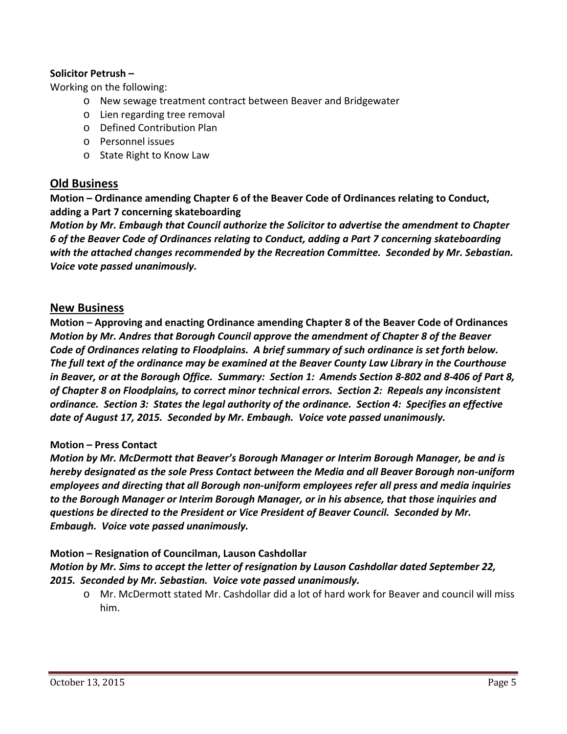### **Solicitor Petrush –**

Working on the following:

- o New sewage treatment contract between Beaver and Bridgewater
- o Lien regarding tree removal
- o Defined Contribution Plan
- o Personnel issues
- o State Right to Know Law

# **Old Business**

**Motion – Ordinance amending Chapter 6 of the Beaver Code of Ordinances relating to Conduct, adding a Part 7 concerning skateboarding**

*Motion by Mr. Embaugh that Council authorize the Solicitor to advertise the amendment to Chapter 6 of the Beaver Code of Ordinances relating to Conduct, adding a Part 7 concerning skateboarding with the attached changes recommended by the Recreation Committee. Seconded by Mr. Sebastian. Voice vote passed unanimously.*

## **New Business**

**Motion – Approving and enacting Ordinance amending Chapter 8 of the Beaver Code of Ordinances** *Motion by Mr. Andres that Borough Council approve the amendment of Chapter 8 of the Beaver* Code of Ordinances relating to Floodplains. A brief summary of such ordinance is set forth below. *The full text of the ordinance may be examined at the Beaver County Law Library in the Courthouse* in Beaver, or at the Borough Office. Summary: Section 1: Amends Section 8-802 and 8-406 of Part 8, *of Chapter 8 on Floodplains, to correct minor technical errors. Section 2: Repeals any inconsistent* ordinance. Section 3: States the legal authority of the ordinance. Section 4: Specifies an effective *date of August 17, 2015. Seconded by Mr. Embaugh. Voice vote passed unanimously.*

#### **Motion – Press Contact**

*Motion by Mr. McDermott that Beaver's Borough Manager or Interim Borough Manager, be and is hereby designated as the sole Press Contact between the Media and all Beaver Borough non‐uniform employees and directing that all Borough non‐uniform employees refer all press and media inquiries to the Borough Manager or Interim Borough Manager, or in his absence, that those inquiries and questions be directed to the President or Vice President of Beaver Council. Seconded by Mr. Embaugh. Voice vote passed unanimously.*

## **Motion – Resignation of Councilman, Lauson Cashdollar**

*Motion by Mr. Sims to accept the letter of resignation by Lauson Cashdollar dated September 22, 2015. Seconded by Mr. Sebastian. Voice vote passed unanimously.*

o Mr. McDermott stated Mr. Cashdollar did a lot of hard work for Beaver and council will miss him.